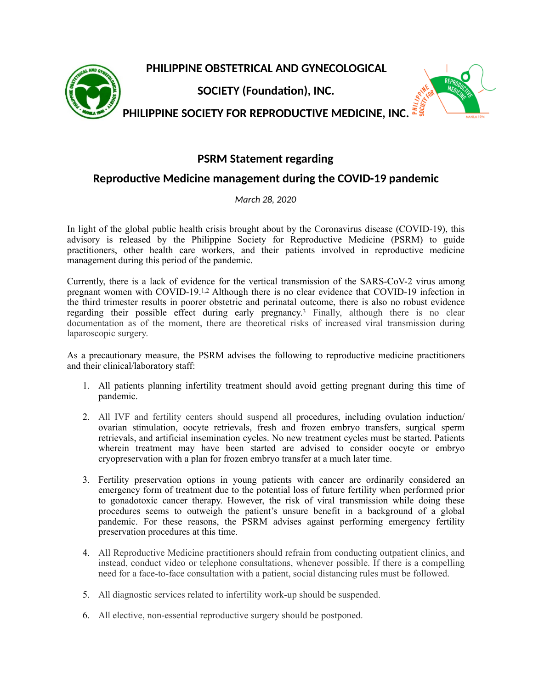

**PHILIPPINE OBSTETRICAL AND GYNECOLOGICAL** 

**SOCIETY (Foundation), INC.** 



**PHILIPPINE SOCIETY FOR REPRODUCTIVE MEDICINE, INC.** 

## **PSRM Statement regarding**

## **Reproductive Medicine management during the COVID-19 pandemic**

*March 28, 2020* 

In light of the global public health crisis brought about by the Coronavirus disease (COVID-19), this advisory is released by the Philippine Society for Reproductive Medicine (PSRM) to guide practitioners, other health care workers, and their patients involved in reproductive medicine management during this period of the pandemic.

Currently, there is a lack of evidence for the vertical transmission of the SARS-CoV-2 virus among pregnant women with COVID-19.1,2 Although there is no clear evidence that COVID-19 infection in the third trimester results in poorer obstetric and perinatal outcome, there is also no robust evidence regarding their possible effect during early pregnancy.3 Finally, although there is no clear documentation as of the moment, there are theoretical risks of increased viral transmission during laparoscopic surgery.

As a precautionary measure, the PSRM advises the following to reproductive medicine practitioners and their clinical/laboratory staff:

- 1. All patients planning infertility treatment should avoid getting pregnant during this time of pandemic.
- 2. All IVF and fertility centers should suspend all procedures, including ovulation induction/ ovarian stimulation, oocyte retrievals, fresh and frozen embryo transfers, surgical sperm retrievals, and artificial insemination cycles. No new treatment cycles must be started. Patients wherein treatment may have been started are advised to consider oocyte or embryo cryopreservation with a plan for frozen embryo transfer at a much later time.
- 3. Fertility preservation options in young patients with cancer are ordinarily considered an emergency form of treatment due to the potential loss of future fertility when performed prior to gonadotoxic cancer therapy. However, the risk of viral transmission while doing these procedures seems to outweigh the patient's unsure benefit in a background of a global pandemic. For these reasons, the PSRM advises against performing emergency fertility preservation procedures at this time.
- 4. All Reproductive Medicine practitioners should refrain from conducting outpatient clinics, and instead, conduct video or telephone consultations, whenever possible. If there is a compelling need for a face-to-face consultation with a patient, social distancing rules must be followed.
- 5. All diagnostic services related to infertility work-up should be suspended.
- 6. All elective, non-essential reproductive surgery should be postponed.